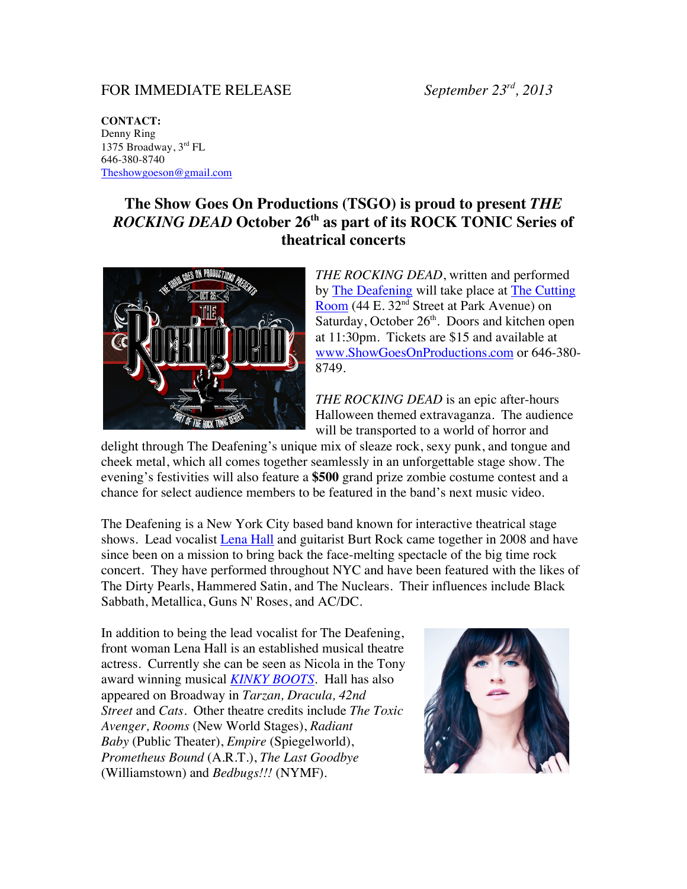## FOR IMMEDIATE RELEASE *September 23rd, 2013*

**CONTACT:** Denny Ring 1375 Broadway, 3rd FL 646-380-8740 Theshowgoeson@gmail.com

## **The Show Goes On Productions (TSGO) is proud to present** *THE ROCKING DEAD* **October 26th as part of its ROCK TONIC Series of theatrical concerts**



*THE ROCKING DEAD*, written and performed by The Deafening will take place at The Cutting Room (44 E. 32<sup>nd</sup> Street at Park Avenue) on Saturday, October 26<sup>th</sup>. Doors and kitchen open at 11:30pm. Tickets are \$15 and available at www.ShowGoesOnProductions.com or 646-380- 8749.

*THE ROCKING DEAD* is an epic after-hours Halloween themed extravaganza. The audience will be transported to a world of horror and

delight through The Deafening's unique mix of sleaze rock, sexy punk, and tongue and cheek metal, which all comes together seamlessly in an unforgettable stage show. The evening's festivities will also feature a **\$500** grand prize zombie costume contest and a chance for select audience members to be featured in the band's next music video.

The Deafening is a New York City based band known for interactive theatrical stage shows. Lead vocalist Lena Hall and guitarist Burt Rock came together in 2008 and have since been on a mission to bring back the face-melting spectacle of the big time rock concert. They have performed throughout NYC and have been featured with the likes of The Dirty Pearls, Hammered Satin, and The Nuclears. Their influences include Black Sabbath, Metallica, Guns N' Roses, and AC/DC.

In addition to being the lead vocalist for The Deafening, front woman Lena Hall is an established musical theatre actress. Currently she can be seen as Nicola in the Tony award winning musical *KINKY BOOTS*. Hall has also appeared on Broadway in *Tarzan, Dracula, 42nd Street* and *Cats*. Other theatre credits include *The Toxic Avenger, Rooms* (New World Stages), *Radiant Baby* (Public Theater), *Empire* (Spiegelworld), *Prometheus Bound* (A.R.T.), *The Last Goodbye*  (Williamstown) and *Bedbugs!!!* (NYMF).